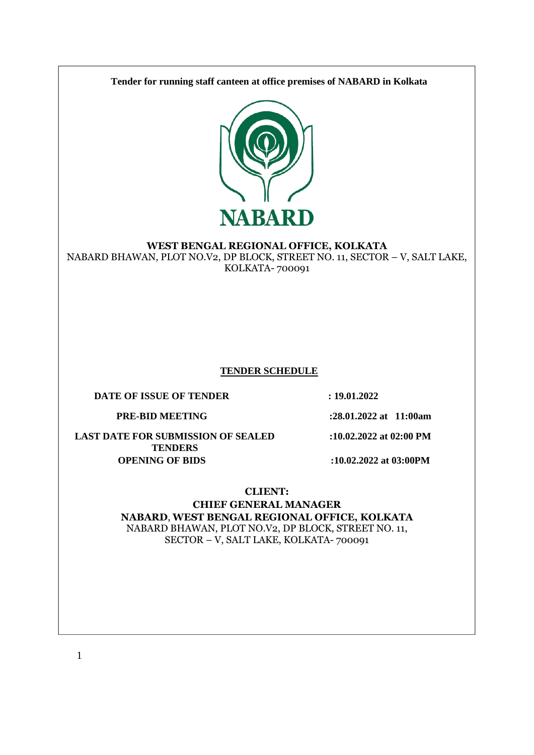**Tender for running staff canteen at office premises of NABARD in Kolkata**



### **WEST BENGAL REGIONAL OFFICE, KOLKATA**

NABARD BHAWAN, PLOT NO.V2, DP BLOCK, STREET NO. 11, SECTOR – V, SALT LAKE, KOLKATA- 700091

#### **TENDER SCHEDULE**

**DATE OF ISSUE OF TENDER : 19.01.2022** 

**PRE-BID MEETING :28.01.2022 at 11:00am**

**LAST DATE FOR SUBMISSION OF SEALED TENDERS**

**:10.02.2022 at 02:00 PM**

**OPENING OF BIDS :10.02.2022 at 03:00PM**

### **CLIENT:**

**CHIEF GENERAL MANAGER NABARD**, **WEST BENGAL REGIONAL OFFICE, KOLKATA** NABARD BHAWAN, PLOT NO.V2, DP BLOCK, STREET NO. 11, SECTOR – V, SALT LAKE, KOLKATA- 700091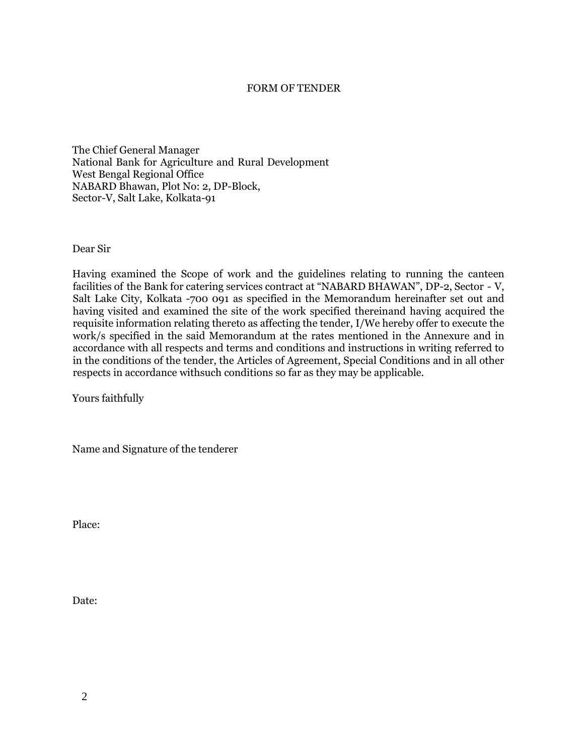#### FORM OF TENDER

The Chief General Manager National Bank for Agriculture and Rural Development West Bengal Regional Office NABARD Bhawan, Plot No: 2, DP-Block, Sector-V, Salt Lake, Kolkata-91

Dear Sir

Having examined the Scope of work and the guidelines relating to running the canteen facilities of the Bank for catering services contract at "NABARD BHAWAN", DP-2, Sector - V, Salt Lake City, Kolkata -700 091 as specified in the Memorandum hereinafter set out and having visited and examined the site of the work specified thereinand having acquired the requisite information relating thereto as affecting the tender, I/We hereby offer to execute the work/s specified in the said Memorandum at the rates mentioned in the Annexure and in accordance with all respects and terms and conditions and instructions in writing referred to in the conditions of the tender, the Articles of Agreement, Special Conditions and in all other respects in accordance withsuch conditions so far as they may be applicable.

Yours faithfully

Name and Signature of the tenderer

Place:

Date: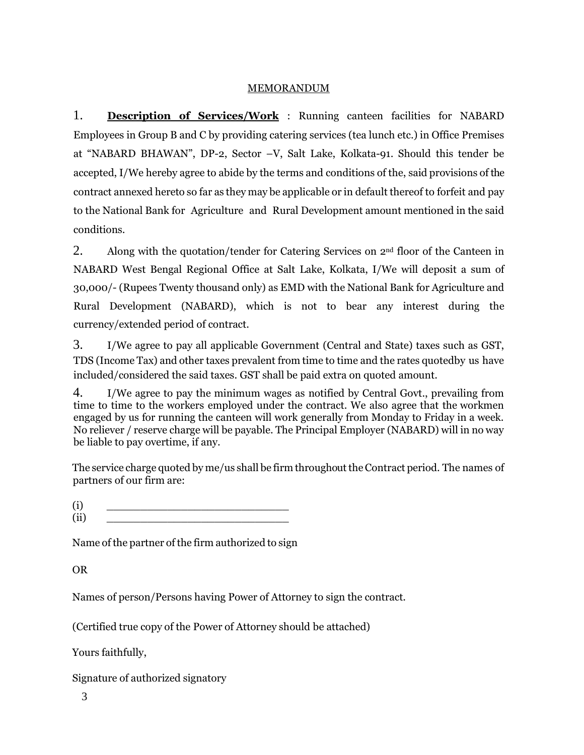## MEMORANDUM

1. **Description of Services/Work** : Running canteen facilities for NABARD Employees in Group B and C by providing catering services (tea lunch etc.) in Office Premises at "NABARD BHAWAN", DP-2, Sector –V, Salt Lake, Kolkata-91. Should this tender be accepted, I/We hereby agree to abide by the terms and conditions of the, said provisions of the contract annexed hereto so far as they may be applicable or in default thereof to forfeit and pay to the National Bank for Agriculture and Rural Development amount mentioned in the said conditions.

2. Along with the quotation/tender for Catering Services on  $2<sup>nd</sup>$  floor of the Canteen in NABARD West Bengal Regional Office at Salt Lake, Kolkata, I/We will deposit a sum of 30,000/- (Rupees Twenty thousand only) as EMD with the National Bank for Agriculture and Rural Development (NABARD), which is not to bear any interest during the currency/extended period of contract.

3. I/We agree to pay all applicable Government (Central and State) taxes such as GST, TDS (Income Tax) and other taxes prevalent from time to time and the rates quotedby us have included/considered the said taxes. GST shall be paid extra on quoted amount.

4. I/We agree to pay the minimum wages as notified by Central Govt., prevailing from time to time to the workers employed under the contract. We also agree that the workmen engaged by us for running the canteen will work generally from Monday to Friday in a week. No reliever / reserve charge will be payable. The Principal Employer (NABARD) will in no way be liable to pay overtime, if any.

The service charge quoted by me/us shall be firm throughout the Contract period. The names of partners of our firm are:

 $(i)$   $\qquad \qquad$  $\left( ii\right)$   $\qquad \qquad$ 

Name of the partner of the firm authorized to sign

OR

Names of person/Persons having Power of Attorney to sign the contract.

(Certified true copy of the Power of Attorney should be attached)

Yours faithfully,

Signature of authorized signatory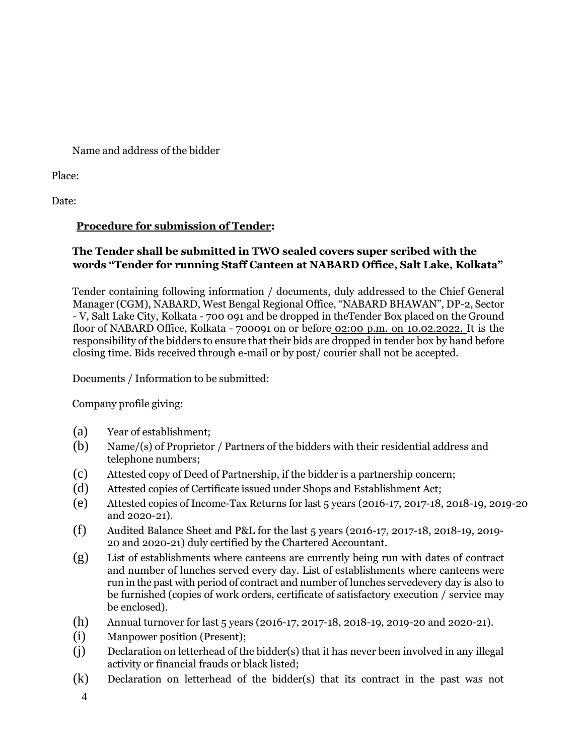Name and address of the bidder

Place:

Date:

# **Procedure for submission of Tender:**

# **The Tender shall be submitted in TWO sealed covers super scribed with the words "Tender for running Staff Canteen at NABARD Office, Salt Lake, Kolkata"**

Tender containing following information / documents, duly addressed to the Chief General Manager (CGM), NABARD, West Bengal Regional Office, "NABARD BHAWAN", DP-2, Sector - V, Salt Lake City, Kolkata - 700 091 and be dropped in theTender Box placed on the Ground floor of NABARD Office, Kolkata - 700091 on or before 02:00 p.m. on 10.02.2022. It is the responsibility of the bidders to ensure that their bids are dropped in tender box by hand before closing time. Bids received through e-mail or by post/ courier shall not be accepted.

Documents / Information to be submitted:

Company profile giving:

- (a) Year of establishment;
- (b) Name/(s) of Proprietor / Partners of the bidders with their residential address and telephone numbers;
- (c) Attested copy of Deed of Partnership, if the bidder is a partnership concern;
- (d) Attested copies of Certificate issued under Shops and Establishment Act;
- (e) Attested copies of Income-Tax Returns for last 5 years (2016-17, 2017-18, 2018-19, 2019-20 and 2020-21).
- (f) Audited Balance Sheet and P&L for the last 5 years (2016-17, 2017-18, 2018-19, 2019- 20 and 2020-21) duly certified by the Chartered Accountant.
- (g) List of establishments where canteens are currently being run with dates of contract and number of lunches served every day. List of establishments where canteens were run in the past with period of contract and number of lunches servedevery day is also to be furnished (copies of work orders, certificate of satisfactory execution / service may be enclosed).
- (h) Annual turnover for last 5 years (2016-17, 2017-18, 2018-19, 2019-20 and 2020-21).
- (i) Manpower position (Present);
- (j) Declaration on letterhead of the bidder(s) that it has never been involved in any illegal activity or financial frauds or black listed;
- (k) Declaration on letterhead of the bidder(s) that its contract in the past was not

4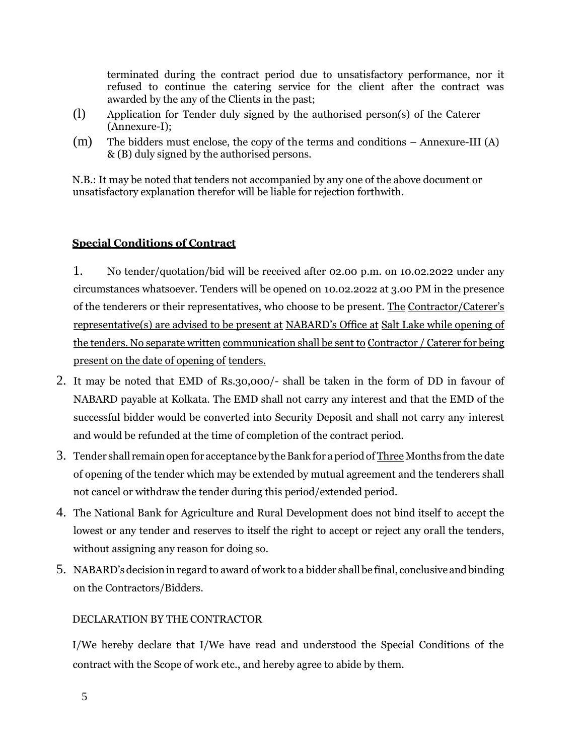terminated during the contract period due to unsatisfactory performance, nor it refused to continue the catering service for the client after the contract was awarded by the any of the Clients in the past;

- (l) Application for Tender duly signed by the authorised person(s) of the Caterer (Annexure-I);
- (m) The bidders must enclose, the copy of the terms and conditions Annexure-III (A) & (B) duly signed by the authorised persons.

N.B.: It may be noted that tenders not accompanied by any one of the above document or unsatisfactory explanation therefor will be liable for rejection forthwith.

## **Special Conditions of Contract**

1. No tender/quotation/bid will be received after 02.00 p.m. on 10.02.2022 under any circumstances whatsoever. Tenders will be opened on 10.02.2022 at 3.00 PM in the presence of the tenderers or their representatives, who choose to be present. The Contractor/Caterer's representative(s) are advised to be present at NABARD's Office at Salt Lake while opening of the tenders. No separate written communication shall be sent to Contractor / Caterer for being present on the date of opening of tenders.

- 2. It may be noted that EMD of Rs.30,000/- shall be taken in the form of DD in favour of NABARD payable at Kolkata. The EMD shall not carry any interest and that the EMD of the successful bidder would be converted into Security Deposit and shall not carry any interest and would be refunded at the time of completion of the contract period.
- 3. Tender shall remain open for acceptance by the Bank for a period of Three Months from the date of opening of the tender which may be extended by mutual agreement and the tenderers shall not cancel or withdraw the tender during this period/extended period.
- 4. The National Bank for Agriculture and Rural Development does not bind itself to accept the lowest or any tender and reserves to itself the right to accept or reject any orall the tenders, without assigning any reason for doing so.
- 5. NABARD's decision in regard to award of work to a bidder shall be final, conclusive and binding on the Contractors/Bidders.

## DECLARATION BY THE CONTRACTOR

I/We hereby declare that I/We have read and understood the Special Conditions of the contract with the Scope of work etc., and hereby agree to abide by them.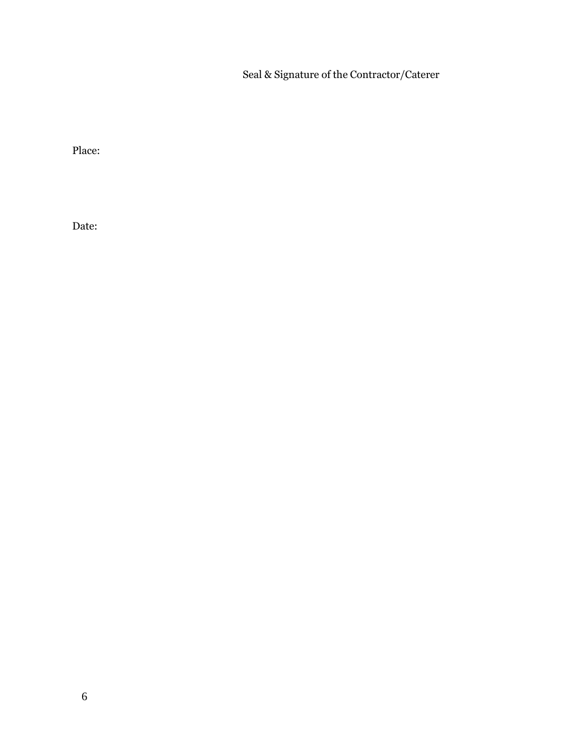Seal & Signature of the Contractor/Caterer

Place:

Date: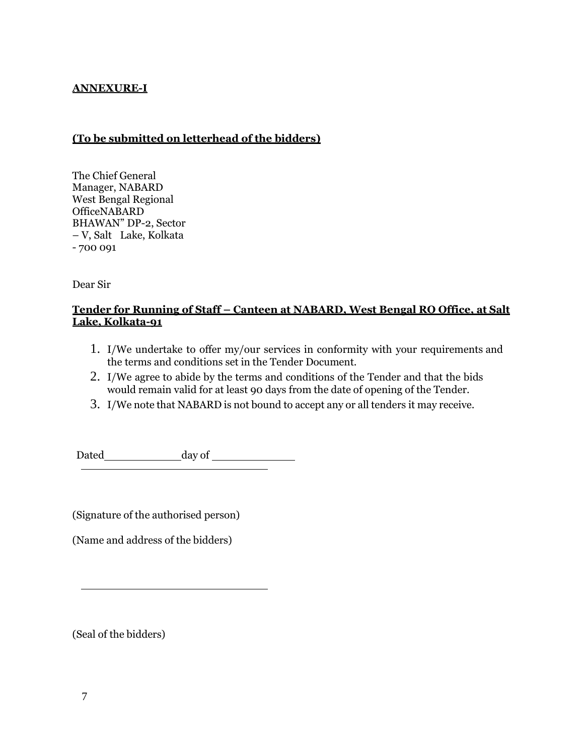## **ANNEXURE-I**

## **(To be submitted on letterhead of the bidders)**

The Chief General Manager, NABARD West Bengal Regional OfficeNABARD BHAWAN" DP-2, Sector – V, Salt Lake, Kolkata - 700 091

Dear Sir

## **Tender for Running of Staff – Canteen at NABARD, West Bengal RO Office, at Salt Lake, Kolkata-91**

- 1. I/We undertake to offer my/our services in conformity with your requirements and the terms and conditions set in the Tender Document.
- 2. I/We agree to abide by the terms and conditions of the Tender and that the bids would remain valid for at least 90 days from the date of opening of the Tender.
- 3. I/We note that NABARD is not bound to accept any or all tenders it may receive.

Dated day of

(Signature of the authorised person)

(Name and address of the bidders)

(Seal of the bidders)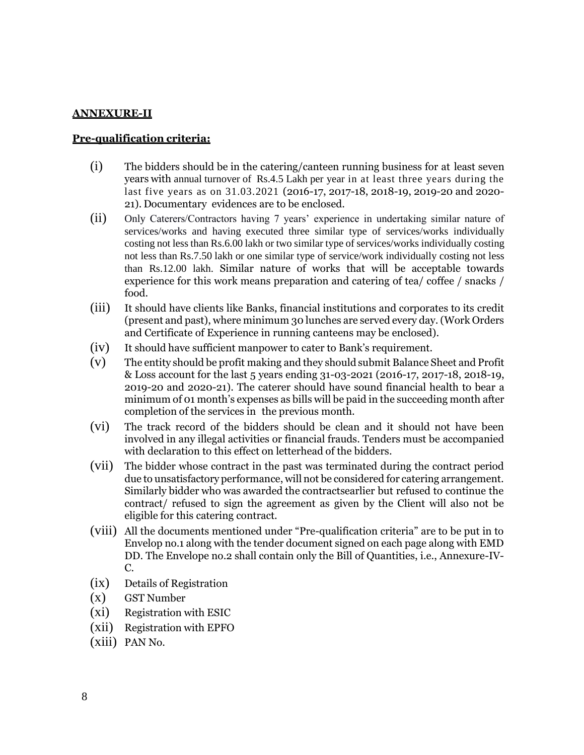#### **ANNEXURE-II**

#### **Pre-qualification criteria:**

- (i) The bidders should be in the catering/canteen running business for at least seven years with annual turnover of Rs.4.5 Lakh per year in at least three years during the last five years as on 31.03.2021 (2016-17, 2017-18, 2018-19, 2019-20 and 2020- 21). Documentary evidences are to be enclosed.
- (ii) Only Caterers/Contractors having 7 years' experience in undertaking similar nature of services/works and having executed three similar type of services/works individually costing not less than Rs.6.00 lakh or two similar type of services/works individually costing not less than Rs.7.50 lakh or one similar type of service/work individually costing not less than Rs.12.00 lakh. Similar nature of works that will be acceptable towards experience for this work means preparation and catering of tea/ coffee / snacks / food.
- (iii) It should have clients like Banks, financial institutions and corporates to its credit (present and past), where minimum 30 lunches are served every day. (Work Orders and Certificate of Experience in running canteens may be enclosed).
- (iv) It should have sufficient manpower to cater to Bank's requirement.
- (v) The entity should be profit making and they should submit Balance Sheet and Profit & Loss account for the last 5 years ending 31-03-2021 (2016-17, 2017-18, 2018-19, 2019-20 and 2020-21). The caterer should have sound financial health to bear a minimum of 01 month's expenses as bills will be paid in the succeeding month after completion of the services in the previous month.
- (vi) The track record of the bidders should be clean and it should not have been involved in any illegal activities or financial frauds. Tenders must be accompanied with declaration to this effect on letterhead of the bidders.
- (vii) The bidder whose contract in the past was terminated during the contract period due to unsatisfactory performance, will not be considered for catering arrangement. Similarly bidder who was awarded the contractsearlier but refused to continue the contract/ refused to sign the agreement as given by the Client will also not be eligible for this catering contract.
- (viii) All the documents mentioned under "Pre-qualification criteria" are to be put in to Envelop no.1 along with the tender document signed on each page along with EMD DD. The Envelope no.2 shall contain only the Bill of Quantities, i.e., Annexure-IV-C.
- (ix) Details of Registration
- (x) GST Number
- (xi) Registration with ESIC
- (xii) Registration with EPFO
- (xiii) PAN No.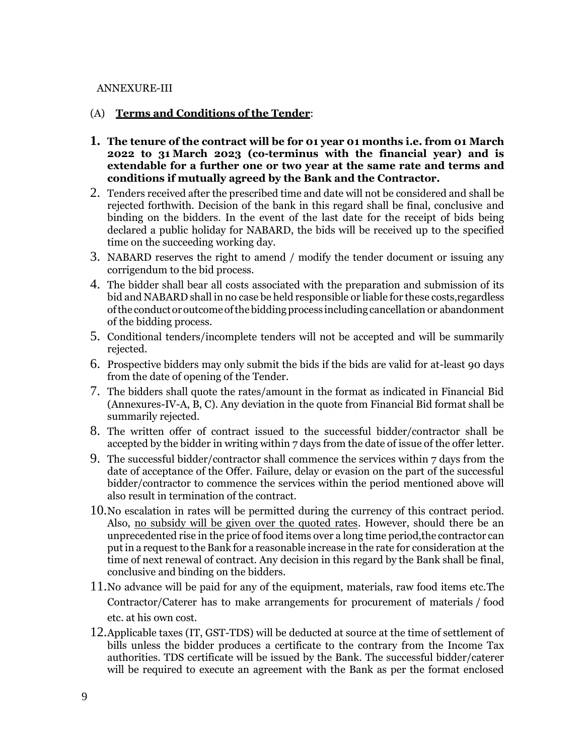#### ANNEXURE-III

#### (A) **Terms and Conditions of the Tender**:

- **1. The tenure of the contract will be for 01 year 01 months i.e. from 01 March 2022 to 31 March 2023 (co-terminus with the financial year) and is extendable for a further one or two year at the same rate and terms and conditions if mutually agreed by the Bank and the Contractor.**
- 2. Tenders received after the prescribed time and date will not be considered and shall be rejected forthwith. Decision of the bank in this regard shall be final, conclusive and binding on the bidders. In the event of the last date for the receipt of bids being declared a public holiday for NABARD, the bids will be received up to the specified time on the succeeding working day.
- 3. NABARD reserves the right to amend / modify the tender document or issuing any corrigendum to the bid process.
- 4. The bidder shall bear all costs associated with the preparation and submission of its bid and NABARD shall in no case be held responsible or liable for these costs,regardless of the conduct or outcome of the bidding process including cancellation or abandonment of the bidding process.
- 5. Conditional tenders/incomplete tenders will not be accepted and will be summarily rejected.
- 6. Prospective bidders may only submit the bids if the bids are valid for at-least 90 days from the date of opening of the Tender.
- 7. The bidders shall quote the rates/amount in the format as indicated in Financial Bid (Annexures-IV-A, B, C). Any deviation in the quote from Financial Bid format shall be summarily rejected.
- 8. The written offer of contract issued to the successful bidder/contractor shall be accepted by the bidder in writing within 7 days from the date of issue of the offer letter.
- 9. The successful bidder/contractor shall commence the services within 7 days from the date of acceptance of the Offer. Failure, delay or evasion on the part of the successful bidder/contractor to commence the services within the period mentioned above will also result in termination of the contract.
- 10.No escalation in rates will be permitted during the currency of this contract period. Also, no subsidy will be given over the quoted rates. However, should there be an unprecedented rise in the price of food items over a long time period,the contractor can put in a request to the Bank for a reasonable increase in the rate for consideration at the time of next renewal of contract. Any decision in this regard by the Bank shall be final, conclusive and binding on the bidders.
- 11.No advance will be paid for any of the equipment, materials, raw food items etc.The Contractor/Caterer has to make arrangements for procurement of materials / food etc. at his own cost.
- 12.Applicable taxes (IT, GST-TDS) will be deducted at source at the time of settlement of bills unless the bidder produces a certificate to the contrary from the Income Tax authorities. TDS certificate will be issued by the Bank. The successful bidder/caterer will be required to execute an agreement with the Bank as per the format enclosed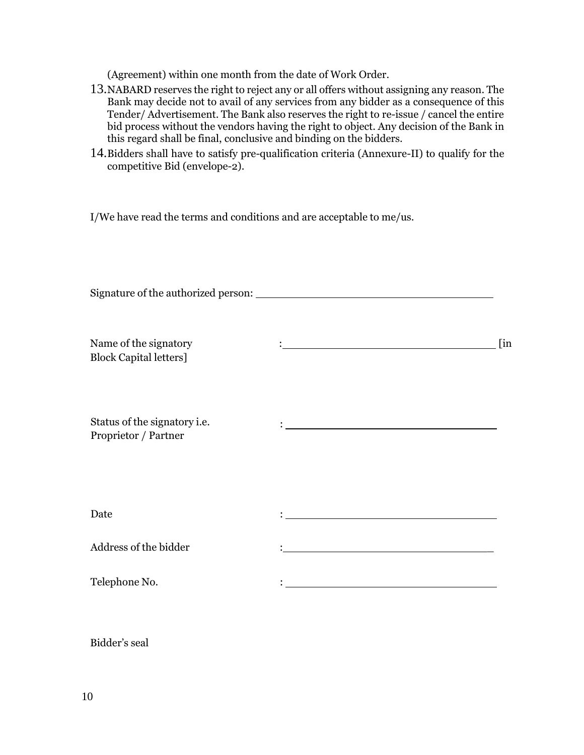(Agreement) within one month from the date of Work Order.

- 13.NABARD reserves the right to reject any or all offers without assigning any reason. The Bank may decide not to avail of any services from any bidder as a consequence of this Tender/ Advertisement. The Bank also reserves the right to re-issue / cancel the entire bid process without the vendors having the right to object. Any decision of the Bank in this regard shall be final, conclusive and binding on the bidders.
- 14.Bidders shall have to satisfy pre-qualification criteria (Annexure-II) to qualify for the competitive Bid (envelope-2).

I/We have read the terms and conditions and are acceptable to me/us.

| Name of the signatory<br><b>Block Capital letters]</b> |                                         | $\lim$ |  |  |  |
|--------------------------------------------------------|-----------------------------------------|--------|--|--|--|
| Status of the signatory i.e.<br>Proprietor / Partner   |                                         |        |  |  |  |
| Date                                                   |                                         |        |  |  |  |
| Address of the bidder                                  |                                         |        |  |  |  |
| Telephone No.                                          | <u> 1989 - Johann Barbara, martin a</u> |        |  |  |  |

Bidder's seal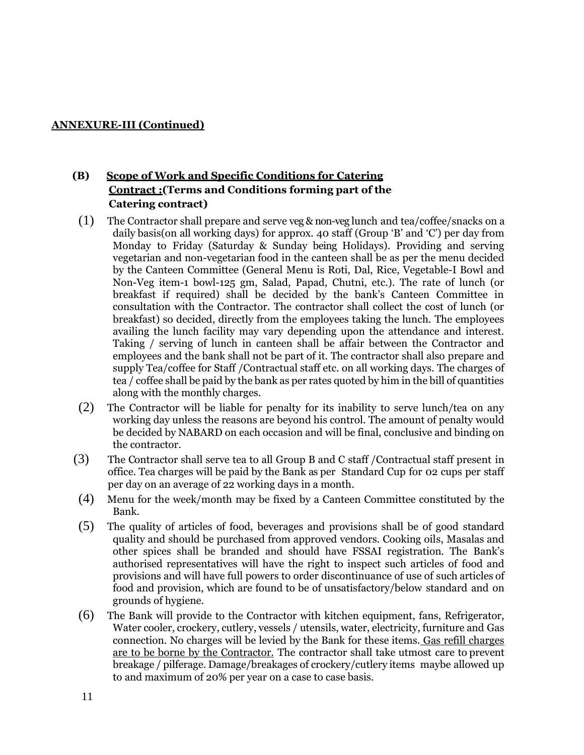### **ANNEXURE-III (Continued)**

## **(B) Scope of Work and Specific Conditions for Catering Contract :(Terms and Conditions forming part of the Catering contract)**

- (1) The Contractor shall prepare and serve veg & non-veg lunch and tea/coffee/snacks on a daily basis(on all working days) for approx. 40 staff (Group  $B'$  and  $C'$ ) per day from Monday to Friday (Saturday & Sunday being Holidays). Providing and serving vegetarian and non-vegetarian food in the canteen shall be as per the menu decided by the Canteen Committee (General Menu is Roti, Dal, Rice, Vegetable-I Bowl and Non-Veg item-1 bowl-125 gm, Salad, Papad, Chutni, etc.). The rate of lunch (or breakfast if required) shall be decided by the bank's Canteen Committee in consultation with the Contractor. The contractor shall collect the cost of lunch (or breakfast) so decided, directly from the employees taking the lunch. The employees availing the lunch facility may vary depending upon the attendance and interest. Taking / serving of lunch in canteen shall be affair between the Contractor and employees and the bank shall not be part of it. The contractor shall also prepare and supply Tea/coffee for Staff /Contractual staff etc. on all working days. The charges of tea / coffee shall be paid by the bank as per rates quoted by him in the bill of quantities along with the monthly charges.
- (2) The Contractor will be liable for penalty for its inability to serve lunch/tea on any working day unless the reasons are beyond his control. The amount of penalty would be decided by NABARD on each occasion and will be final, conclusive and binding on the contractor.
- (3) The Contractor shall serve tea to all Group B and C staff /Contractual staff present in office. Tea charges will be paid by the Bank as per Standard Cup for 02 cups per staff per day on an average of 22 working days in a month.
- (4) Menu for the week/month may be fixed by a Canteen Committee constituted by the Bank.
- (5) The quality of articles of food, beverages and provisions shall be of good standard quality and should be purchased from approved vendors. Cooking oils, Masalas and other spices shall be branded and should have FSSAI registration. The Bank's authorised representatives will have the right to inspect such articles of food and provisions and will have full powers to order discontinuance of use of such articles of food and provision, which are found to be of unsatisfactory/below standard and on grounds of hygiene.
- (6) The Bank will provide to the Contractor with kitchen equipment, fans, Refrigerator, Water cooler, crockery, cutlery, vessels / utensils, water, electricity, furniture and Gas connection. No charges will be levied by the Bank for these items. Gas refill charges are to be borne by the Contractor. The contractor shall take utmost care to prevent breakage / pilferage. Damage/breakages of crockery/cutlery items maybe allowed up to and maximum of 20% per year on a case to case basis.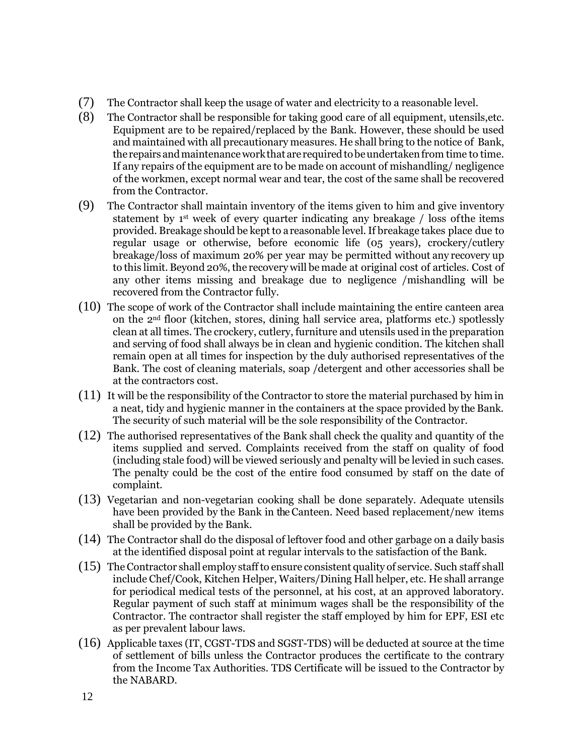- (7) The Contractor shall keep the usage of water and electricity to a reasonable level.
- (8) The Contractor shall be responsible for taking good care of all equipment, utensils,etc. Equipment are to be repaired/replaced by the Bank. However, these should be used and maintained with all precautionary measures. He shall bring to the notice of Bank, the repairs and maintenance work that are required to be undertaken from time to time. If any repairs of the equipment are to be made on account of mishandling/ negligence of the workmen, except normal wear and tear, the cost of the same shall be recovered from the Contractor.
- (9) The Contractor shall maintain inventory of the items given to him and give inventory statement by 1<sup>st</sup> week of every quarter indicating any breakage / loss of the items provided. Breakage should be kept to a reasonable level.If breakage takes place due to regular usage or otherwise, before economic life (05 years), crockery/cutlery breakage/loss of maximum 20% per year may be permitted without any recovery up to this limit. Beyond 20%, the recovery will be made at original cost of articles. Cost of any other items missing and breakage due to negligence /mishandling will be recovered from the Contractor fully.
- (10) The scope of work of the Contractor shall include maintaining the entire canteen area on the 2nd floor (kitchen, stores, dining hall service area, platforms etc.) spotlessly clean at all times. The crockery, cutlery, furniture and utensils used in the preparation and serving of food shall always be in clean and hygienic condition. The kitchen shall remain open at all times for inspection by the duly authorised representatives of the Bank. The cost of cleaning materials, soap /detergent and other accessories shall be at the contractors cost.
- (11) It will be the responsibility of the Contractor to store the material purchased by him in a neat, tidy and hygienic manner in the containers at the space provided by the Bank. The security of such material will be the sole responsibility of the Contractor.
- (12) The authorised representatives of the Bank shall check the quality and quantity of the items supplied and served. Complaints received from the staff on quality of food (including stale food) will be viewed seriously and penalty will be levied in such cases. The penalty could be the cost of the entire food consumed by staff on the date of complaint.
- (13) Vegetarian and non-vegetarian cooking shall be done separately. Adequate utensils have been provided by the Bank in the Canteen. Need based replacement/new items shall be provided by the Bank.
- (14) The Contractor shall do the disposal of leftover food and other garbage on a daily basis at the identified disposal point at regular intervals to the satisfaction of the Bank.
- (15) TheContractor shall employ staffto ensure consistent quality of service. Such staff shall include Chef/Cook, Kitchen Helper, Waiters/Dining Hall helper, etc. He shall arrange for periodical medical tests of the personnel, at his cost, at an approved laboratory. Regular payment of such staff at minimum wages shall be the responsibility of the Contractor. The contractor shall register the staff employed by him for EPF, ESI etc as per prevalent labour laws.
- (16) Applicable taxes (IT, CGST-TDS and SGST-TDS) will be deducted at source at the time of settlement of bills unless the Contractor produces the certificate to the contrary from the Income Tax Authorities. TDS Certificate will be issued to the Contractor by the NABARD.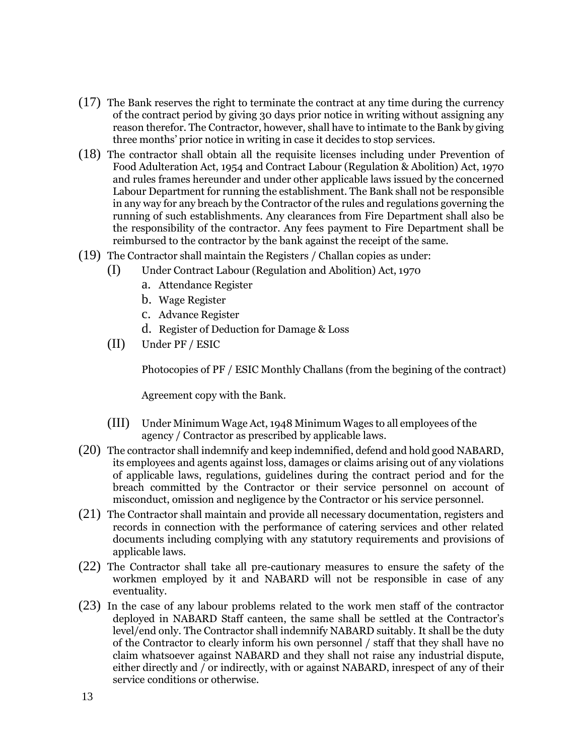- (17) The Bank reserves the right to terminate the contract at any time during the currency of the contract period by giving 30 days prior notice in writing without assigning any reason therefor. The Contractor, however, shall have to intimate to the Bank by giving three months' prior notice in writing in case it decides to stop services.
- (18) The contractor shall obtain all the requisite licenses including under Prevention of Food Adulteration Act, 1954 and Contract Labour (Regulation & Abolition) Act, 1970 and rules frames hereunder and under other applicable laws issued by the concerned Labour Department for running the establishment. The Bank shall not be responsible in any way for any breach by the Contractor of the rules and regulations governing the running of such establishments. Any clearances from Fire Department shall also be the responsibility of the contractor. Any fees payment to Fire Department shall be reimbursed to the contractor by the bank against the receipt of the same.
- (19) The Contractor shall maintain the Registers / Challan copies as under:
	- (I) Under Contract Labour (Regulation and Abolition) Act, 1970
		- a. Attendance Register
		- b. Wage Register
		- c. Advance Register
		- d. Register of Deduction for Damage & Loss
	- (II) Under PF / ESIC

Photocopies of PF / ESIC Monthly Challans (from the begining of the contract)

Agreement copy with the Bank.

- (III) Under Minimum Wage Act, 1948 Minimum Wages to all employees of the agency / Contractor as prescribed by applicable laws.
- (20) The contractor shall indemnify and keep indemnified, defend and hold good NABARD, its employees and agents against loss, damages or claims arising out of any violations of applicable laws, regulations, guidelines during the contract period and for the breach committed by the Contractor or their service personnel on account of misconduct, omission and negligence by the Contractor or his service personnel.
- (21) The Contractor shall maintain and provide all necessary documentation, registers and records in connection with the performance of catering services and other related documents including complying with any statutory requirements and provisions of applicable laws.
- (22) The Contractor shall take all pre-cautionary measures to ensure the safety of the workmen employed by it and NABARD will not be responsible in case of any eventuality.
- (23) In the case of any labour problems related to the work men staff of the contractor deployed in NABARD Staff canteen, the same shall be settled at the Contractor's level/end only. The Contractor shall indemnify NABARD suitably. It shall be the duty of the Contractor to clearly inform his own personnel / staff that they shall have no claim whatsoever against NABARD and they shall not raise any industrial dispute, either directly and / or indirectly, with or against NABARD, inrespect of any of their service conditions or otherwise.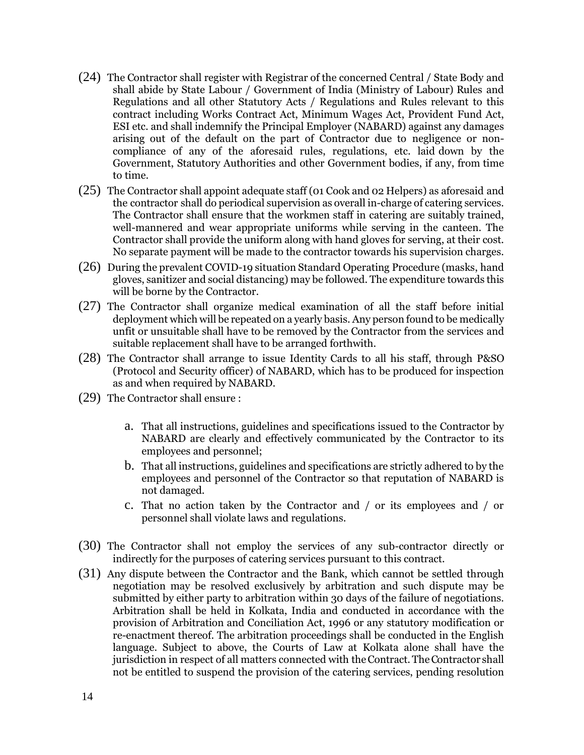- (24) The Contractor shall register with Registrar of the concerned Central / State Body and shall abide by State Labour / Government of India (Ministry of Labour) Rules and Regulations and all other Statutory Acts / Regulations and Rules relevant to this contract including Works Contract Act, Minimum Wages Act, Provident Fund Act, ESI etc. and shall indemnify the Principal Employer (NABARD) against any damages arising out of the default on the part of Contractor due to negligence or noncompliance of any of the aforesaid rules, regulations, etc. laid down by the Government, Statutory Authorities and other Government bodies, if any, from time to time.
- (25) The Contractor shall appoint adequate staff (01 Cook and 02 Helpers) as aforesaid and the contractor shall do periodical supervision as overall in-charge of catering services. The Contractor shall ensure that the workmen staff in catering are suitably trained, well-mannered and wear appropriate uniforms while serving in the canteen. The Contractor shall provide the uniform along with hand gloves for serving, at their cost. No separate payment will be made to the contractor towards his supervision charges.
- (26) During the prevalent COVID-19 situation Standard Operating Procedure (masks, hand gloves, sanitizer and social distancing) may be followed. The expenditure towards this will be borne by the Contractor.
- (27) The Contractor shall organize medical examination of all the staff before initial deployment which will be repeated on a yearly basis. Any person found to be medically unfit or unsuitable shall have to be removed by the Contractor from the services and suitable replacement shall have to be arranged forthwith.
- (28) The Contractor shall arrange to issue Identity Cards to all his staff, through P&SO (Protocol and Security officer) of NABARD, which has to be produced for inspection as and when required by NABARD.
- (29) The Contractor shall ensure :
	- a. That all instructions, guidelines and specifications issued to the Contractor by NABARD are clearly and effectively communicated by the Contractor to its employees and personnel;
	- b. That all instructions, guidelines and specifications are strictly adhered to by the employees and personnel of the Contractor so that reputation of NABARD is not damaged.
	- c. That no action taken by the Contractor and / or its employees and / or personnel shall violate laws and regulations.
- (30) The Contractor shall not employ the services of any sub-contractor directly or indirectly for the purposes of catering services pursuant to this contract.
- (31) Any dispute between the Contractor and the Bank, which cannot be settled through negotiation may be resolved exclusively by arbitration and such dispute may be submitted by either party to arbitration within 30 days of the failure of negotiations. Arbitration shall be held in Kolkata, India and conducted in accordance with the provision of Arbitration and Conciliation Act, 1996 or any statutory modification or re-enactment thereof. The arbitration proceedings shall be conducted in the English language. Subject to above, the Courts of Law at Kolkata alone shall have the jurisdiction in respect of all matters connected with theContract. TheContractor shall not be entitled to suspend the provision of the catering services, pending resolution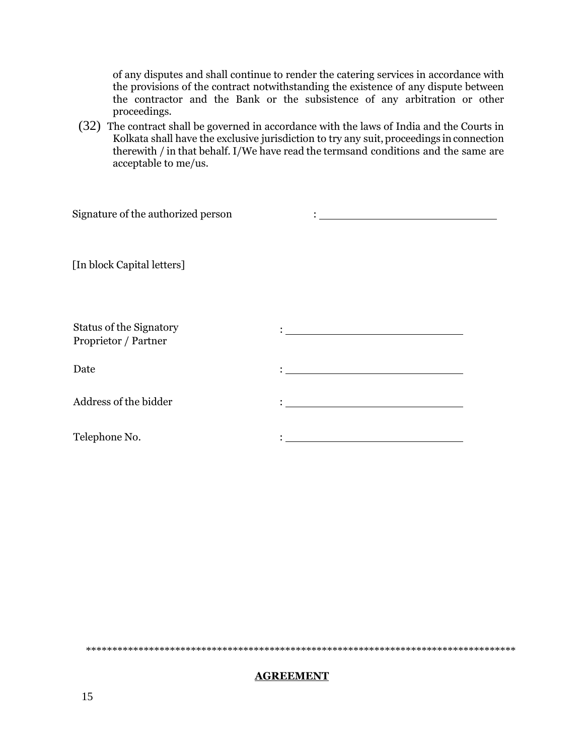of any disputes and shall continue to render the catering services in accordance with the provisions of the contract notwithstanding the existence of any dispute between the contractor and the Bank or the subsistence of any arbitration or other proceedings.

(32) The contract shall be governed in accordance with the laws of India and the Courts in Kolkata shall have the exclusive jurisdiction to try any suit, proceedings in connection therewith / in that behalf. I/We have read the termsand conditions and the same are acceptable to me/us.

| Signature of the authorized person                     |                                                                                                                                                                                                                                          |
|--------------------------------------------------------|------------------------------------------------------------------------------------------------------------------------------------------------------------------------------------------------------------------------------------------|
| [In block Capital letters]                             |                                                                                                                                                                                                                                          |
| <b>Status of the Signatory</b><br>Proprietor / Partner | <u> 1980 - Johann Barn, mars eta bainar eta baina eta baina eta baina eta baina eta baina eta baina eta baina e</u>                                                                                                                      |
| Date                                                   |                                                                                                                                                                                                                                          |
| Address of the bidder                                  | $\mathbf{L}_{\text{max}}$ . The contract of the contract of the contract of the contract of the contract of the contract of the contract of the contract of the contract of the contract of the contract of the contract of the contract |
| Telephone No.                                          |                                                                                                                                                                                                                                          |

\*\*\*\*\*\*\*\*\*\*\*\*\*\*\*\*\*\*\*\*\*\*\*\*\*\*\*\*\*\*\*\*\*\*\*\*\*\*\*\*\*\*\*\*\*\*\*\*\*\*\*\*\*\*\*\*\*\*\*\*\*\*\*\*\*\*\*\*\*\*\*\*\*\*\*\*\*\*\*\*\*\*

#### **AGREEMENT**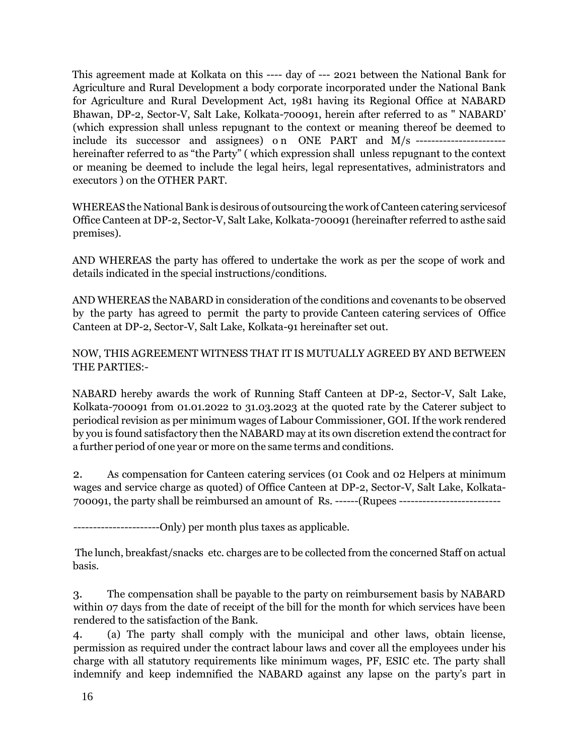This agreement made at Kolkata on this ---- day of --- 2021 between the National Bank for Agriculture and Rural Development a body corporate incorporated under the National Bank for Agriculture and Rural Development Act, 1981 having its Regional Office at NABARD Bhawan, DP-2, Sector-V, Salt Lake, Kolkata-700091, herein after referred to as " NABARD' (which expression shall unless repugnant to the context or meaning thereof be deemed to include its successor and assignees) o n ONE PART and M/s ---------------------- hereinafter referred to as "the Party" ( which expression shall unless repugnant to the context or meaning be deemed to include the legal heirs, legal representatives, administrators and executors ) on the OTHER PART.

WHEREAS the National Bank is desirous of outsourcing the work of Canteen catering services of Office Canteen at DP-2, Sector-V, Salt Lake, Kolkata-700091 (hereinafter referred to asthe said premises).

AND WHEREAS the party has offered to undertake the work as per the scope of work and details indicated in the special instructions/conditions.

AND WHEREAS the NABARD in consideration of the conditions and covenants to be observed by the party has agreed to permit the party to provide Canteen catering services of Office Canteen at DP-2, Sector-V, Salt Lake, Kolkata-91 hereinafter set out.

NOW, THIS AGREEMENT WITNESS THAT IT IS MUTUALLY AGREED BY AND BETWEEN THE PARTIES:-

NABARD hereby awards the work of Running Staff Canteen at DP-2, Sector-V, Salt Lake, Kolkata-700091 from 01.01.2022 to 31.03.2023 at the quoted rate by the Caterer subject to periodical revision as per minimum wages of Labour Commissioner, GOI. If the work rendered by you is found satisfactory then the NABARD may at its own discretion extend the contract for a further period of one year or more on the same terms and conditions.

2. As compensation for Canteen catering services (01 Cook and 02 Helpers at minimum wages and service charge as quoted) of Office Canteen at DP-2, Sector-V, Salt Lake, Kolkata-700091, the party shall be reimbursed an amount of Rs. ------(Rupees --------------------------

-----------------------Only) per month plus taxes as applicable.

The lunch, breakfast/snacks etc. charges are to be collected from the concerned Staff on actual basis.

3. The compensation shall be payable to the party on reimbursement basis by NABARD within 07 days from the date of receipt of the bill for the month for which services have been rendered to the satisfaction of the Bank.

4. (a) The party shall comply with the municipal and other laws, obtain license, permission as required under the contract labour laws and cover all the employees under his charge with all statutory requirements like minimum wages, PF, ESIC etc. The party shall indemnify and keep indemnified the NABARD against any lapse on the party's part in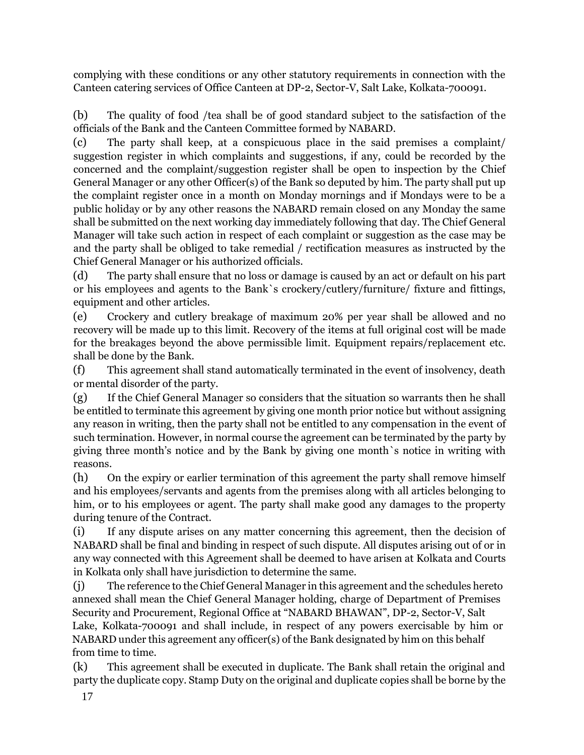complying with these conditions or any other statutory requirements in connection with the Canteen catering services of Office Canteen at DP-2, Sector-V, Salt Lake, Kolkata-700091.

(b) The quality of food /tea shall be of good standard subject to the satisfaction of the officials of the Bank and the Canteen Committee formed by NABARD.

(c) The party shall keep, at a conspicuous place in the said premises a complaint/ suggestion register in which complaints and suggestions, if any, could be recorded by the concerned and the complaint/suggestion register shall be open to inspection by the Chief General Manager or any other Officer(s) of the Bank so deputed by him. The party shall put up the complaint register once in a month on Monday mornings and if Mondays were to be a public holiday or by any other reasons the NABARD remain closed on any Monday the same shall be submitted on the next working day immediately following that day. The Chief General Manager will take such action in respect of each complaint or suggestion as the case may be and the party shall be obliged to take remedial / rectification measures as instructed by the Chief General Manager or his authorized officials.

(d) The party shall ensure that no loss or damage is caused by an act or default on his part or his employees and agents to the Bank`s crockery/cutlery/furniture/ fixture and fittings, equipment and other articles.

(e) Crockery and cutlery breakage of maximum 20% per year shall be allowed and no recovery will be made up to this limit. Recovery of the items at full original cost will be made for the breakages beyond the above permissible limit. Equipment repairs/replacement etc. shall be done by the Bank.

(f) This agreement shall stand automatically terminated in the event of insolvency, death or mental disorder of the party.

(g) If the Chief General Manager so considers that the situation so warrants then he shall be entitled to terminate this agreement by giving one month prior notice but without assigning any reason in writing, then the party shall not be entitled to any compensation in the event of such termination. However, in normal course the agreement can be terminated by the party by giving three month's notice and by the Bank by giving one month`s notice in writing with reasons.

(h) On the expiry or earlier termination of this agreement the party shall remove himself and his employees/servants and agents from the premises along with all articles belonging to him, or to his employees or agent. The party shall make good any damages to the property during tenure of the Contract.

(i) If any dispute arises on any matter concerning this agreement, then the decision of NABARD shall be final and binding in respect of such dispute. All disputes arising out of or in any way connected with this Agreement shall be deemed to have arisen at Kolkata and Courts in Kolkata only shall have jurisdiction to determine the same.

(j) The reference to the Chief General Manager in this agreement and the schedules hereto annexed shall mean the Chief General Manager holding, charge of Department of Premises Security and Procurement, Regional Office at "NABARD BHAWAN", DP-2, Sector-V, Salt Lake, Kolkata-700091 and shall include, in respect of any powers exercisable by him or NABARD under this agreement any officer(s) of the Bank designated by him on this behalf from time to time.

(k) This agreement shall be executed in duplicate. The Bank shall retain the original and party the duplicate copy. Stamp Duty on the original and duplicate copies shall be borne by the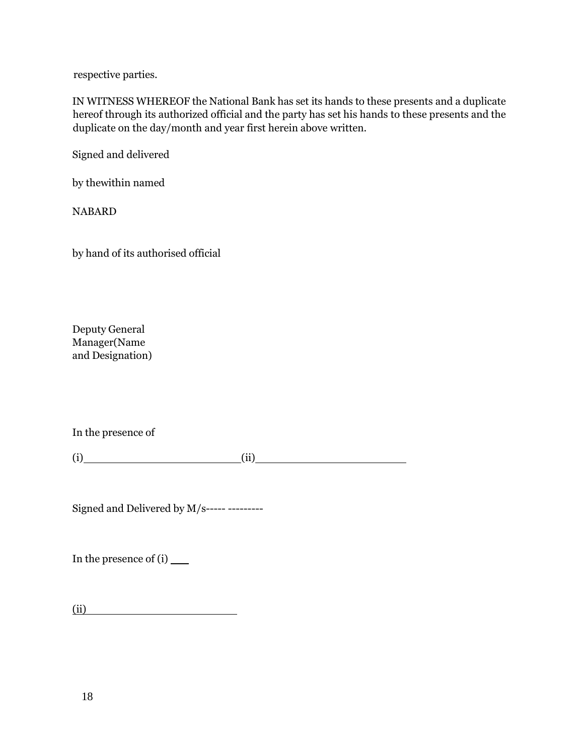respective parties.

IN WITNESS WHEREOF the National Bank has set its hands to these presents and a duplicate hereof through its authorized official and the party has set his hands to these presents and the duplicate on the day/month and year first herein above written.

Signed and delivered

by thewithin named

NABARD

by hand of its authorised official

Deputy General Manager(Name and Designation)

In the presence of

 $(i)$  (ii) (iii)

Signed and Delivered by M/s----- ---------

In the presence of (i)

(ii)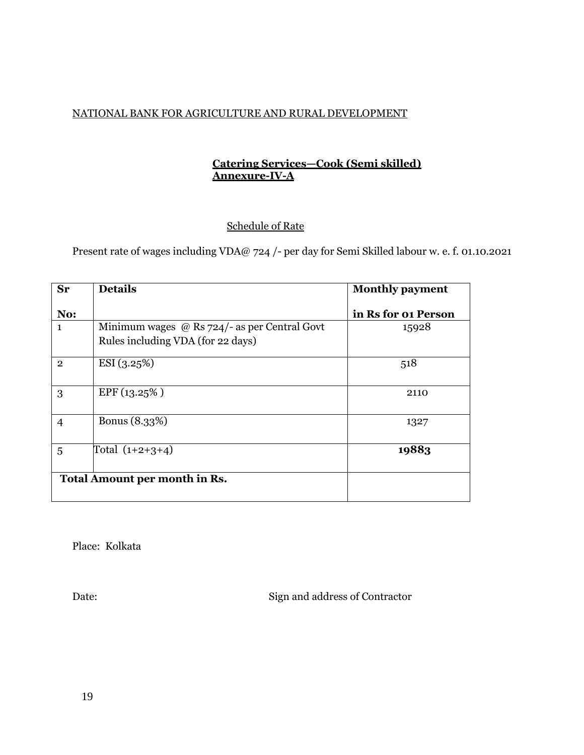## NATIONAL BANK FOR AGRICULTURE AND RURAL DEVELOPMENT

## **Catering Services—Cook (Semi skilled) Annexure-IV-A**

# Schedule of Rate

Present rate of wages including VDA@ 724 /- per day for Semi Skilled labour w. e. f. 01.10.2021

| <b>Sr</b>      | <b>Details</b>                                      | <b>Monthly payment</b> |  |
|----------------|-----------------------------------------------------|------------------------|--|
| No:            |                                                     | in Rs for 01 Person    |  |
| 1              | Minimum wages $\omega$ Rs 724/- as per Central Govt | 15928                  |  |
|                | Rules including VDA (for 22 days)                   |                        |  |
| $\overline{2}$ | ESI(3.25%)                                          | 518                    |  |
| 3              | EPF(13.25%)                                         | 2110                   |  |
| $\overline{4}$ | Bonus (8.33%)                                       | 1327                   |  |
| 5              | Total $(1+2+3+4)$                                   | 19883                  |  |
|                | Total Amount per month in Rs.                       |                        |  |

Place: Kolkata

Date: Sign and address of Contractor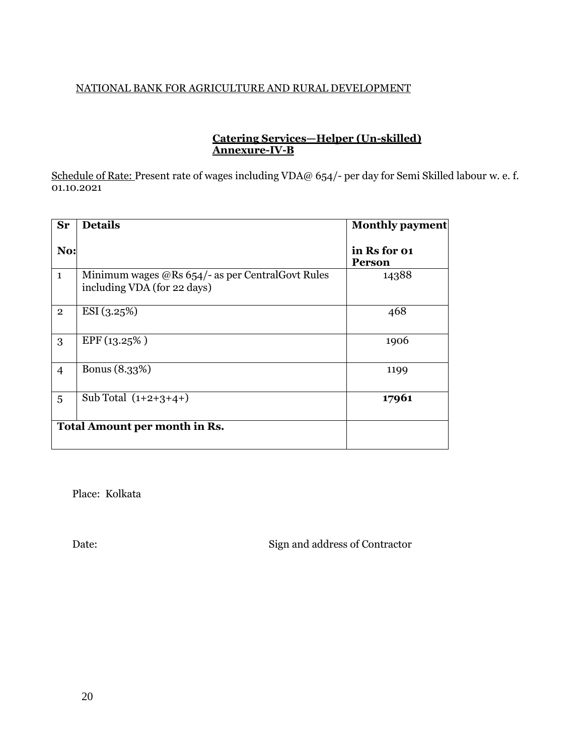## NATIONAL BANK FOR AGRICULTURE AND RURAL DEVELOPMENT

### **Catering Services—Helper (Un-skilled) Annexure-IV-B**

Schedule of Rate: Present rate of wages including VDA@ 654/- per day for Semi Skilled labour w. e. f. 01.10.2021

| <b>Sr</b>      | <b>Details</b>                                                                      | <b>Monthly payment</b>        |
|----------------|-------------------------------------------------------------------------------------|-------------------------------|
| No:            |                                                                                     | in Rs for 01<br><b>Person</b> |
| $\mathbf{1}$   | Minimum wages $@$ Rs 654/- as per Central Govt Rules<br>including VDA (for 22 days) | 14388                         |
| $\overline{2}$ | ESI(3.25%)                                                                          | 468                           |
| 3              | EPF(13.25%)                                                                         | 1906                          |
| $\overline{4}$ | Bonus (8.33%)                                                                       | 1199                          |
| 5              | Sub Total $(1+2+3+4+)$                                                              | 17961                         |
|                | Total Amount per month in Rs.                                                       |                               |

Place: Kolkata

Date: Sign and address of Contractor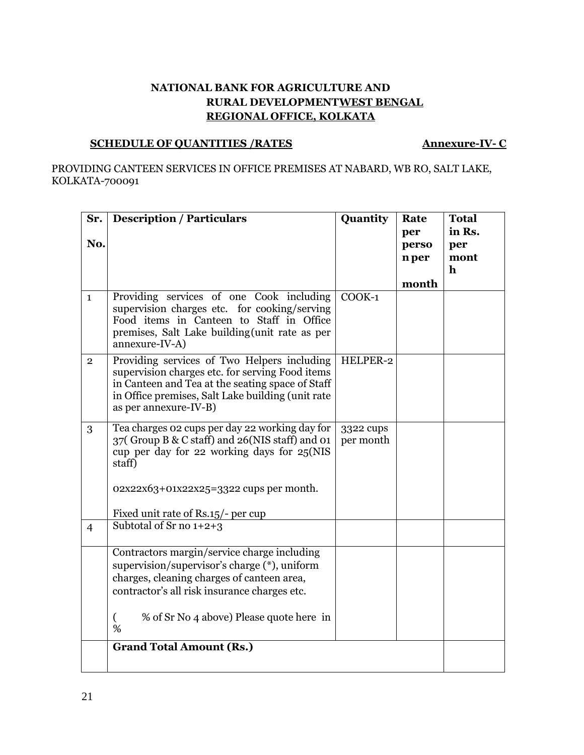## **NATIONAL BANK FOR AGRICULTURE AND RURAL DEVELOPMENTWEST BENGAL REGIONAL OFFICE, KOLKATA**

# **SCHEDULE OF QUANTITIES /RATES Annexure-IV- C**

PROVIDING CANTEEN SERVICES IN OFFICE PREMISES AT NABARD, WB RO, SALT LAKE, KOLKATA-700091

| Sr.            | <b>Description / Particulars</b>                                                                                                                                                                                                 | Quantity               | Rate  | <b>Total</b> |
|----------------|----------------------------------------------------------------------------------------------------------------------------------------------------------------------------------------------------------------------------------|------------------------|-------|--------------|
|                |                                                                                                                                                                                                                                  |                        | per   | in Rs.       |
| No.            |                                                                                                                                                                                                                                  |                        | perso | per          |
|                |                                                                                                                                                                                                                                  |                        | n per | mont         |
|                |                                                                                                                                                                                                                                  |                        |       | $\mathbf h$  |
|                |                                                                                                                                                                                                                                  |                        | month |              |
| $\mathbf{1}$   | Providing services of one Cook including<br>supervision charges etc. for cooking/serving<br>Food items in Canteen to Staff in Office<br>premises, Salt Lake building(unit rate as per<br>annexure-IV-A)                          | $COOK-1$               |       |              |
| $\overline{2}$ | Providing services of Two Helpers including<br>supervision charges etc. for serving Food items<br>in Canteen and Tea at the seating space of Staff<br>in Office premises, Salt Lake building (unit rate<br>as per annexure-IV-B) | HELPER-2               |       |              |
| 3              | Tea charges 02 cups per day 22 working day for<br>37 (Group B & C staff) and 26 (NIS staff) and 01<br>cup per day for 22 working days for 25(NIS<br>staff)<br>02x22x63+01x22x25=3322 cups per month.                             | 3322 cups<br>per month |       |              |
| $\overline{4}$ | Fixed unit rate of Rs.15/- per cup<br>Subtotal of Sr no $1+2+3$                                                                                                                                                                  |                        |       |              |
|                |                                                                                                                                                                                                                                  |                        |       |              |
|                | Contractors margin/service charge including<br>supervision/supervisor's charge (*), uniform<br>charges, cleaning charges of canteen area,<br>contractor's all risk insurance charges etc.                                        |                        |       |              |
|                | $\left($<br>% of Sr No 4 above) Please quote here in<br>%                                                                                                                                                                        |                        |       |              |
|                | <b>Grand Total Amount (Rs.)</b>                                                                                                                                                                                                  |                        |       |              |